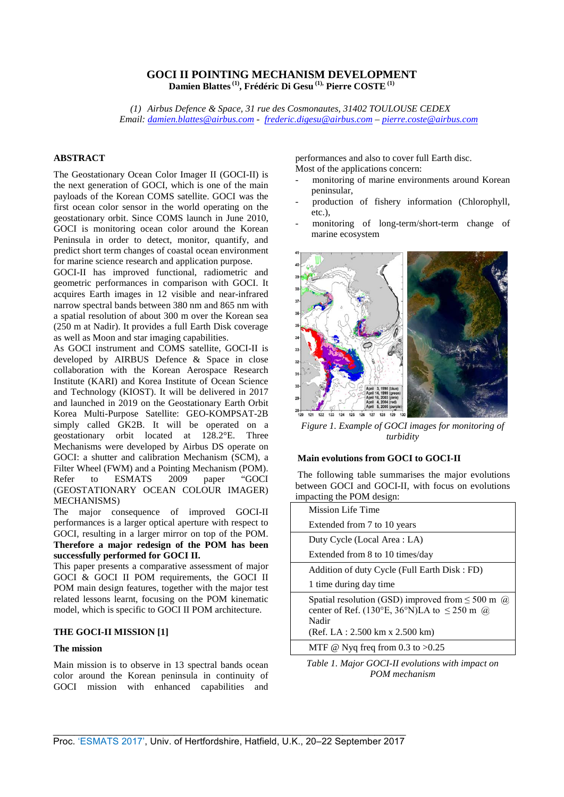# **GOCI II POINTING MECHANISM DEVELOPMENT Damien Blattes (1), Frédéric Di Gesu (1), Pierre COSTE (1)**

*(1) Airbus Defence & Space, 31 rue des Cosmonautes, 31402 TOULOUSE CEDEX Email: [damien.blattes@airbus.com -](mailto:damien.blattes@airbus.com) [frederic.digesu@airbus.com](mailto:frederic.digesu@airbus.com) – [pierre.coste@airbus.com](mailto:pierre.coste@airbus.com)* 

## **ABSTRACT**

The Geostationary Ocean Color Imager II (GOCI-II) is the next generation of GOCI, which is one of the main payloads of the Korean COMS satellite. GOCI was the first ocean color sensor in the world operating on the geostationary orbit. Since COMS launch in June 2010, GOCI is monitoring ocean color around the Korean Peninsula in order to detect, monitor, quantify, and predict short term changes of coastal ocean environment for marine science research and application purpose.

GOCI-II has improved functional, radiometric and geometric performances in comparison with GOCI. It acquires Earth images in 12 visible and near-infrared narrow spectral bands between 380 nm and 865 nm with a spatial resolution of about 300 m over the Korean sea (250 m at Nadir). It provides a full Earth Disk coverage as well as Moon and star imaging capabilities.

As GOCI instrument and COMS satellite, GOCI-II is developed by AIRBUS Defence & Space in close collaboration with the Korean Aerospace Research Institute (KARI) and Korea Institute of Ocean Science and Technology (KIOST). It will be delivered in 2017 and launched in 2019 on the Geostationary Earth Orbit Korea Multi-Purpose Satellite: GEO-KOMPSAT-2B simply called GK2B. It will be operated on a geostationary orbit located at 128.2°E. Three Mechanisms were developed by Airbus DS operate on GOCI: a shutter and calibration Mechanism (SCM), a Filter Wheel (FWM) and a Pointing Mechanism (POM). Refer to ESMATS 2009 paper "GOCI (GEOSTATIONARY OCEAN COLOUR IMAGER) MECHANISMS)

The major consequence of improved GOCI-II performances is a larger optical aperture with respect to GOCI, resulting in a larger mirror on top of the POM. **Therefore a major redesign of the POM has been successfully performed for GOCI II.**

This paper presents a comparative assessment of major GOCI & GOCI II POM requirements, the GOCI II POM main design features, together with the major test related lessons learnt, focusing on the POM kinematic model, which is specific to GOCI II POM architecture.

## **THE GOCI-II MISSION [1]**

## **The mission**

Main mission is to observe in 13 spectral bands ocean color around the Korean peninsula in continuity of GOCI mission with enhanced capabilities and performances and also to cover full Earth disc. Most of the applications concern:

- monitoring of marine environments around Korean peninsular,
- production of fishery information (Chlorophyll, etc.),
- monitoring of long-term/short-term change of marine ecosystem



*Figure 1. Example of GOCI images for monitoring of turbidity*

#### **Main evolutions from GOCI to GOCI-II**

The following table summarises the major evolutions between GOCI and GOCI-II, with focus on evolutions impacting the POM design:

| <b>Mission Life Time</b>                                                                                                                                           |
|--------------------------------------------------------------------------------------------------------------------------------------------------------------------|
| Extended from 7 to 10 years                                                                                                                                        |
| Duty Cycle (Local Area : LA)                                                                                                                                       |
| Extended from 8 to 10 times/day                                                                                                                                    |
| Addition of duty Cycle (Full Earth Disk: FD)                                                                                                                       |
| 1 time during day time                                                                                                                                             |
| Spatial resolution (GSD) improved from $\leq 500$ m $\omega$<br>center of Ref. (130°E, 36°N)LA to $\leq$ 250 m $\omega$<br>Nadir<br>(Ref. LA: 2.500 km x 2.500 km) |
| MTF @ Nyq freq from 0.3 to $>0.25$                                                                                                                                 |
|                                                                                                                                                                    |

*Table 1. Major GOCI-II evolutions with impact on POM mechanism*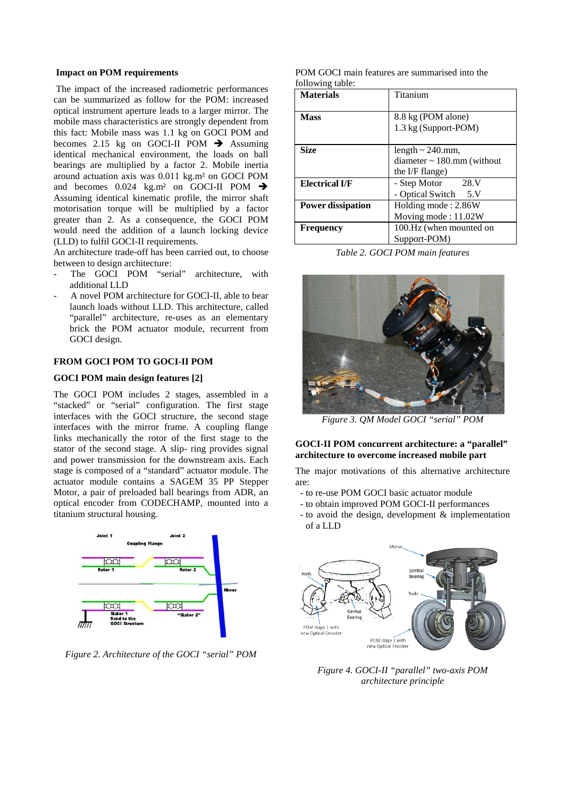#### **Impact on POM requirements**

The impact of the increased radiometric performances can be summarized as follow for the POM: increased optical instrument aperture leads to a larger mirror. The mobile mass characteristics are strongly dependent from this fact: Mobile mass was 1.1 kg on GOCI POM and becomes 2.15 kg on GOCI-II POM  $\rightarrow$  Assuming identical mechanical environment, the loads on ball bearings are multiplied by a factor 2. Mobile inertia around actuation axis was 0.011 kg.m² on GOCI POM and becomes  $0.024$  kg.m<sup>2</sup> on GOCI-II POM  $\rightarrow$ Assuming identical kinematic profile, the mirror shaft motorisation torque will be multiplied by a factor greater than 2. As a consequence, the GOCI POM would need the addition of a launch locking device (LLD) to fulfil GOCI-II requirements.

An architecture trade-off has been carried out, to choose between to design architecture:

- The GOCI POM "serial" architecture, with additional LLD
- A novel POM architecture for GOCI-II, able to bear launch loads without LLD. This architecture, called "parallel" architecture, re-uses as an elementary brick the POM actuator module, recurrent from GOCI design.

## **FROM GOCI POM TO GOCI-II POM**

## **GOCI POM main design features [2]**

The GOCI POM includes 2 stages, assembled in a "stacked" or "serial" configuration. The first stage interfaces with the GOCI structure, the second stage interfaces with the mirror frame. A coupling flange links mechanically the rotor of the first stage to the stator of the second stage. A slip- ring provides signal and power transmission for the downstream axis. Each stage is composed of a "standard" actuator module. The actuator module contains a SAGEM 35 PP Stepper Motor, a pair of preloaded ball bearings from ADR, an optical encoder from CODECHAMP, mounted into a titanium structural housing.



*Figure 2. Architecture of the GOCI "serial" POM*

POM GOCI main features are summarised into the following table:

| <b>Materials</b>         | Titanium                        |  |  |
|--------------------------|---------------------------------|--|--|
|                          |                                 |  |  |
| <b>Mass</b>              | 8.8 kg (POM alone)              |  |  |
|                          | 1.3 kg (Support-POM)            |  |  |
|                          |                                 |  |  |
| <b>Size</b>              | length $\sim$ 240.mm,           |  |  |
|                          | diameter $\sim$ 180.mm (without |  |  |
|                          | the I/F flange)                 |  |  |
| <b>Electrical I/F</b>    | - Step Motor 28.V               |  |  |
|                          | - Optical Switch 5.V            |  |  |
| <b>Power dissipation</b> | Holding mode: 2.86W             |  |  |
|                          | Moving mode: 11.02W             |  |  |
| Frequency                | 100.Hz (when mounted on         |  |  |
|                          | Support-POM)                    |  |  |

*Table 2. GOCI POM main features*



*Figure 3. QM Model GOCI "serial" POM*

## **GOCI-II POM concurrent architecture: a "parallel" architecture to overcome increased mobile part**

The major motivations of this alternative architecture are:

- to re-use POM GOCI basic actuator module
- to obtain improved POM GOCI-II performances
- to avoid the design, development & implementation of a LLD



*Figure 4. GOCI-II "parallel" two-axis POM architecture principle*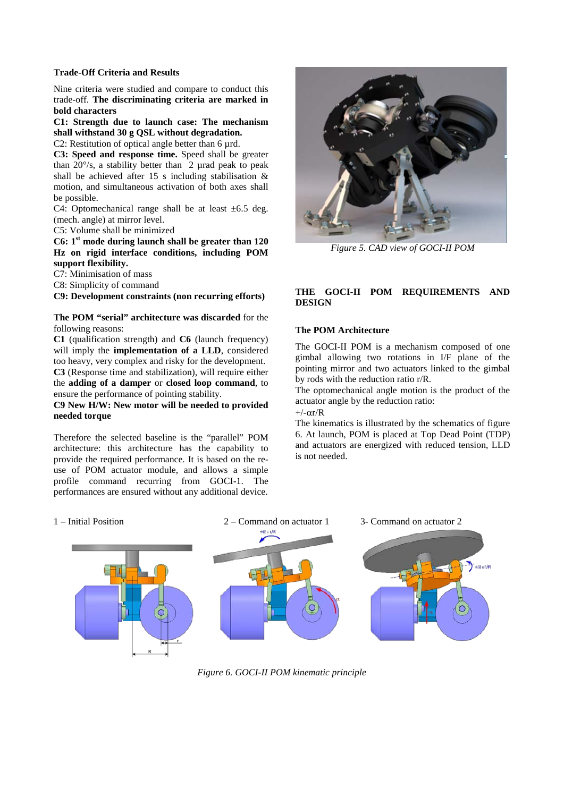### **Trade-Off Criteria and Results**

Nine criteria were studied and compare to conduct this trade-off. **The discriminating criteria are marked in bold characters**

**C1: Strength due to launch case: The mechanism shall withstand 30 g QSL without degradation.**

C2: Restitution of optical angle better than 6 µrd.

**C3: Speed and response time.** Speed shall be greater than  $20^{\circ}/s$ , a stability better than 2 µrad peak to peak shall be achieved after 15 s including stabilisation & motion, and simultaneous activation of both axes shall be possible.

C4: Optomechanical range shall be at least  $\pm 6.5$  deg. (mech. angle) at mirror level.

C5: Volume shall be minimized

**C6: 1st mode during launch shall be greater than 120 Hz on rigid interface conditions, including POM support flexibility.**

C7: Minimisation of mass

C8: Simplicity of command

**C9: Development constraints (non recurring efforts)**

## **The POM "serial" architecture was discarded** for the following reasons:

**C1** (qualification strength) and **C6** (launch frequency) will imply the **implementation of a LLD**, considered too heavy, very complex and risky for the development. **C3** (Response time and stabilization), will require either the **adding of a damper** or **closed loop command**, to ensure the performance of pointing stability.

**C9 New H/W: New motor will be needed to provided needed torque**

Therefore the selected baseline is the "parallel" POM architecture: this architecture has the capability to provide the required performance. It is based on the reuse of POM actuator module, and allows a simple profile command recurring from GOCI-1. The performances are ensured without any additional device.



*Figure 5. CAD view of GOCI-II POM*

# **THE GOCI-II POM REQUIREMENTS AND DESIGN**

## **The POM Architecture**

The GOCI-II POM is a mechanism composed of one gimbal allowing two rotations in I/F plane of the pointing mirror and two actuators linked to the gimbal by rods with the reduction ratio r/R.

The optomechanical angle motion is the product of the actuator angle by the reduction ratio:

 $+/-\alpha r/R$ 

The kinematics is illustrated by the schematics of figure 6. At launch, POM is placed at Top Dead Point (TDP) and actuators are energized with reduced tension, LLD is not needed.



*Figure 6. GOCI-II POM kinematic principle*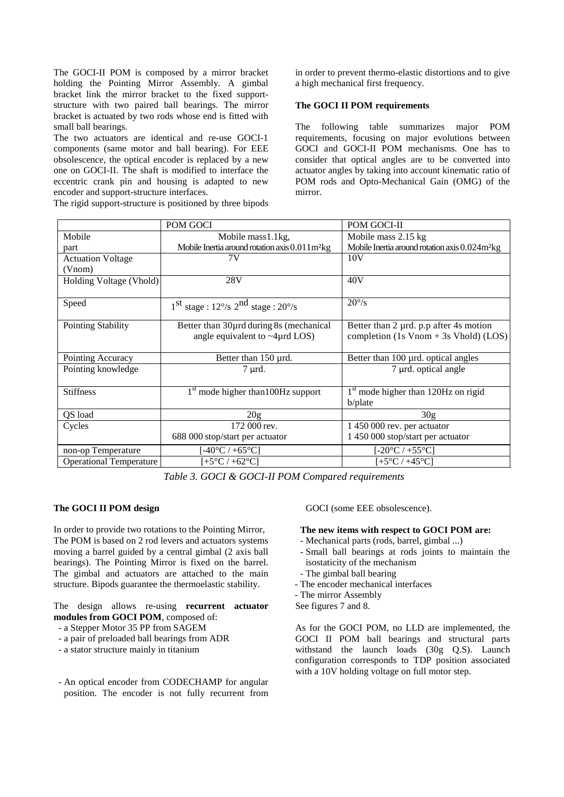The GOCI-II POM is composed by a mirror bracket holding the Pointing Mirror Assembly. A gimbal bracket link the mirror bracket to the fixed supportstructure with two paired ball bearings. The mirror bracket is actuated by two rods whose end is fitted with small ball bearings.

The two actuators are identical and re-use GOCI-1 components (same motor and ball bearing). For EEE obsolescence, the optical encoder is replaced by a new one on GOCI-II. The shaft is modified to interface the eccentric crank pin and housing is adapted to new encoder and support-structure interfaces.

The rigid support-structure is positioned by three bipods

in order to prevent thermo-elastic distortions and to give a high mechanical first frequency.

#### **The GOCI II POM requirements**

The following table summarizes major POM requirements, focusing on major evolutions between GOCI and GOCI-II POM mechanisms. One has to consider that optical angles are to be converted into actuator angles by taking into account kinematic ratio of POM rods and Opto-Mechanical Gain (OMG) of the mirror.

|                                | POM GOCI                                                                             | POM GOCI-II                                                                                       |  |  |
|--------------------------------|--------------------------------------------------------------------------------------|---------------------------------------------------------------------------------------------------|--|--|
| Mobile                         | Mobile mass1.1kg,                                                                    | Mobile mass 2.15 kg                                                                               |  |  |
| part                           | Mobile Inertia around rotation axis 0.011 m <sup>2</sup> kg                          | Mobile Inertia around rotation axis 0.024m <sup>2</sup> kg                                        |  |  |
| <b>Actuation Voltage</b>       | 7V                                                                                   | 10V                                                                                               |  |  |
| (Vnom)                         |                                                                                      |                                                                                                   |  |  |
| Holding Voltage (Vhold)        | 28V                                                                                  | 40V                                                                                               |  |  |
| Speed                          | $1st$ stage : $12°/s$ $2nd$ stage : $20°/s$                                          | $20^{\circ}/s$                                                                                    |  |  |
| <b>Pointing Stability</b>      | Better than 30 µ during 8s (mechanical<br>angle equivalent to $\sim$ 4 $\mu$ rd LOS) | Better than 2 µrd. p.p after 4s motion<br>completion $(1s \text{ Vnom} + 3s \text{ Vhold})$ (LOS) |  |  |
| Pointing Accuracy              | Better than 150 µrd.                                                                 | Better than 100 µrd. optical angles                                                               |  |  |
| Pointing knowledge             | 7 µrd.                                                                               | $7 \mu$ rd. optical angle                                                                         |  |  |
| <b>Stiffness</b>               | $1st$ mode higher than 100Hz support                                                 | $1st$ mode higher than 120Hz on rigid<br>b/plate                                                  |  |  |
| QS load                        | 20 <sub>g</sub>                                                                      | 30g                                                                                               |  |  |
| Cycles                         | 172 000 rev.                                                                         | 1 450 000 rev. per actuator                                                                       |  |  |
|                                | 688 000 stop/start per actuator                                                      | 1 450 000 stop/start per actuator                                                                 |  |  |
| non-op Temperature             | [-40 $^{\circ}$ C / +65 $^{\circ}$ C]                                                | [-20 $^{\circ}$ C / +55 $^{\circ}$ C]                                                             |  |  |
| <b>Operational Temperature</b> | $[+5^{\circ}C/+62^{\circ}C]$                                                         | [+5°C / +45°C]                                                                                    |  |  |

*Table 3. GOCI & GOCI-II POM Compared requirements* 

## **The GOCI II POM design**

In order to provide two rotations to the Pointing Mirror, The POM is based on 2 rod levers and actuators systems moving a barrel guided by a central gimbal (2 axis ball bearings). The Pointing Mirror is fixed on the barrel. The gimbal and actuators are attached to the main structure. Bipods guarantee the thermoelastic stability.

The design allows re-using **recurrent actuator modules from GOCI POM**, composed of:

- a Stepper Motor 35 PP from SAGEM
- a pair of preloaded ball bearings from ADR
- a stator structure mainly in titanium
- An optical encoder from CODECHAMP for angular position. The encoder is not fully recurrent from

GOCI (some EEE obsolescence).

### **The new items with respect to GOCI POM are:**

- Mechanical parts (rods, barrel, gimbal ...)
- Small ball bearings at rods joints to maintain the isostaticity of the mechanism
- The gimbal ball bearing
- The encoder mechanical interfaces
- The mirror Assembly
- See figures 7 and 8.

As for the GOCI POM, no LLD are implemented, the GOCI II POM ball bearings and structural parts withstand the launch loads (30g Q.S). Launch configuration corresponds to TDP position associated with a 10V holding voltage on full motor step.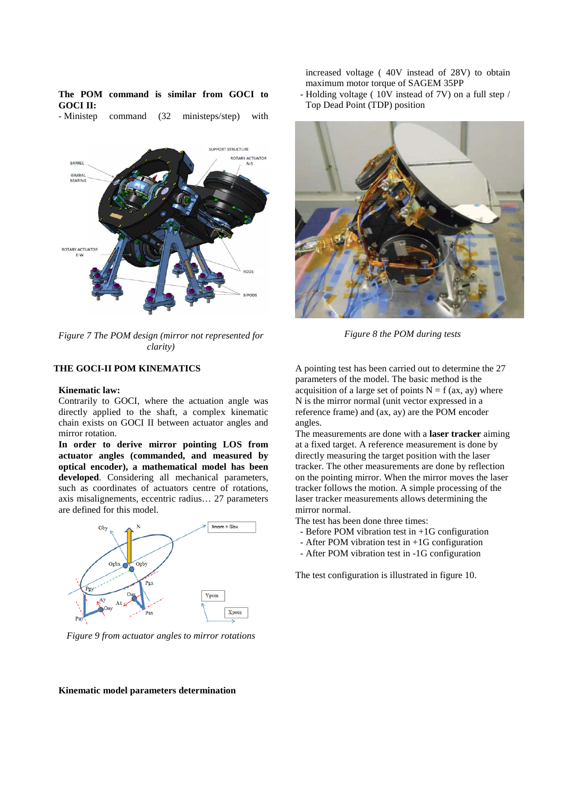|                 |  | The POM command is similar from GOCI to |  |  |  |
|-----------------|--|-----------------------------------------|--|--|--|
| <b>GOCI II:</b> |  |                                         |  |  |  |

- Ministep command (32 ministeps/step) with



*Figure 7 The POM design (mirror not represented for clarity)*

### **THE GOCI-II POM KINEMATICS**

#### **Kinematic law:**

Contrarily to GOCI, where the actuation angle was directly applied to the shaft, a complex kinematic chain exists on GOCI II between actuator angles and mirror rotation.

**In order to derive mirror pointing LOS from actuator angles (commanded, and measured by optical encoder), a mathematical model has been developed**. Considering all mechanical parameters, such as coordinates of actuators centre of rotations, axis misalignements, eccentric radius… 27 parameters are defined for this model.



*Figure 9 from actuator angles to mirror rotations*

increased voltage ( 40V instead of 28V) to obtain maximum motor torque of SAGEM 35PP

- Holding voltage ( 10V instead of 7V) on a full step / Top Dead Point (TDP) position



*Figure 8 the POM during tests*

A pointing test has been carried out to determine the 27 parameters of the model. The basic method is the acquisition of a large set of points  $N = f (ax, ay)$  where N is the mirror normal (unit vector expressed in a reference frame) and (ax, ay) are the POM encoder angles.

The measurements are done with a **laser tracker** aiming at a fixed target. A reference measurement is done by directly measuring the target position with the laser tracker. The other measurements are done by reflection on the pointing mirror. When the mirror moves the laser tracker follows the motion. A simple processing of the laser tracker measurements allows determining the mirror normal.

The test has been done three times:

- Before POM vibration test in +1G configuration
- After POM vibration test in +1G configuration
- After POM vibration test in -1G configuration

The test configuration is illustrated in figure 10.

## **Kinematic model parameters determination**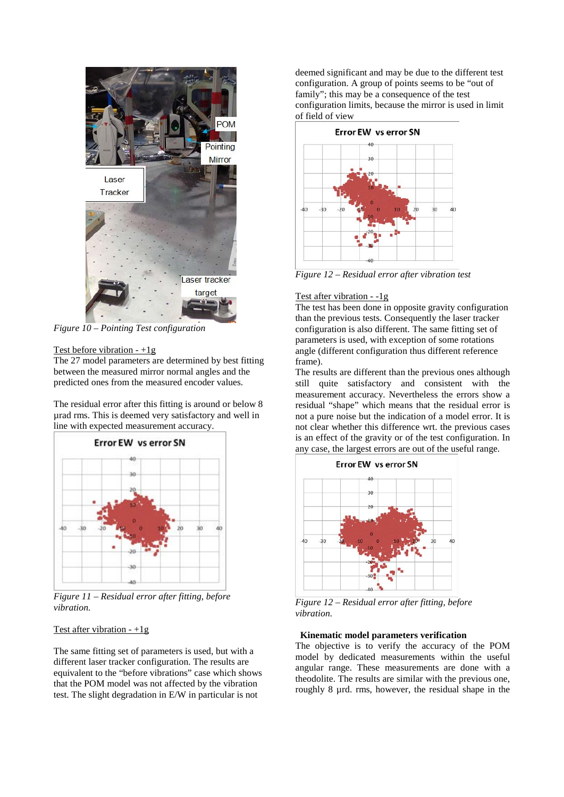

*Figure 10 – Pointing Test configuration*

## Test before vibration  $-1g$

The 27 model parameters are determined by best fitting between the measured mirror normal angles and the predicted ones from the measured encoder values.

The residual error after this fitting is around or below 8 µrad rms. This is deemed very satisfactory and well in line with expected measurement accuracy.



*Figure 11 – Residual error after fitting, before vibration.*

## Test after vibration  $-1g$

The same fitting set of parameters is used, but with a different laser tracker configuration. The results are equivalent to the "before vibrations" case which shows that the POM model was not affected by the vibration test. The slight degradation in E/W in particular is not

deemed significant and may be due to the different test configuration. A group of points seems to be "out of family"; this may be a consequence of the test configuration limits, because the mirror is used in limit of field of view



*Figure 12 – Residual error after vibration test*

# Test after vibration - -1g

The test has been done in opposite gravity configuration than the previous tests. Consequently the laser tracker configuration is also different. The same fitting set of parameters is used, with exception of some rotations angle (different configuration thus different reference frame).

The results are different than the previous ones although still quite satisfactory and consistent with the measurement accuracy. Nevertheless the errors show a residual "shape" which means that the residual error is not a pure noise but the indication of a model error. It is not clear whether this difference wrt. the previous cases is an effect of the gravity or of the test configuration. In any case, the largest errors are out of the useful range.



*Figure 12 – Residual error after fitting, before vibration.*

## **Kinematic model parameters verification**

The objective is to verify the accuracy of the POM model by dedicated measurements within the useful angular range. These measurements are done with a theodolite. The results are similar with the previous one, roughly 8 µrd. rms, however, the residual shape in the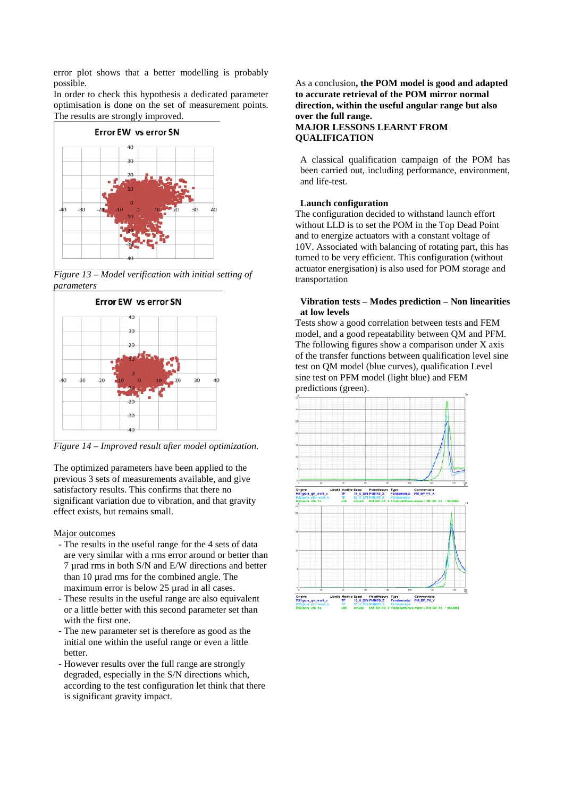error plot shows that a better modelling is probably possible.

In order to check this hypothesis a dedicated parameter optimisation is done on the set of measurement points. The results are strongly improved.



*Figure 13 – Model verification with initial setting of parameters*



*Figure 14 – Improved result after model optimization.*

The optimized parameters have been applied to the previous 3 sets of measurements available, and give satisfactory results. This confirms that there no significant variation due to vibration, and that gravity effect exists, but remains small.

Major outcomes

- The results in the useful range for the 4 sets of data are very similar with a rms error around or better than 7 µrad rms in both S/N and E/W directions and better than 10 µrad rms for the combined angle. The maximum error is below 25 urad in all cases.
- These results in the useful range are also equivalent or a little better with this second parameter set than with the first one.
- The new parameter set is therefore as good as the initial one within the useful range or even a little better.
- However results over the full range are strongly degraded, especially in the S/N directions which, according to the test configuration let think that there is significant gravity impact.

## As a conclusion**, the POM model is good and adapted to accurate retrieval of the POM mirror normal direction, within the useful angular range but also over the full range. MAJOR LESSONS LEARNT FROM QUALIFICATION**

A classical qualification campaign of the POM has been carried out, including performance, environment, and life-test.

# **Launch configuration**

The configuration decided to withstand launch effort without LLD is to set the POM in the Top Dead Point and to energize actuators with a constant voltage of 10V. Associated with balancing of rotating part, this has turned to be very efficient. This configuration (without actuator energisation) is also used for POM storage and transportation

## **Vibration tests – Modes prediction – Non linearities at low levels**

Tests show a good correlation between tests and FEM model, and a good repeatability between QM and PFM. The following figures show a comparison under X axis of the transfer functions between qualification level sine test on QM model (blue curves), qualification Level sine test on PFM model (light blue) and FEM predictions (green).